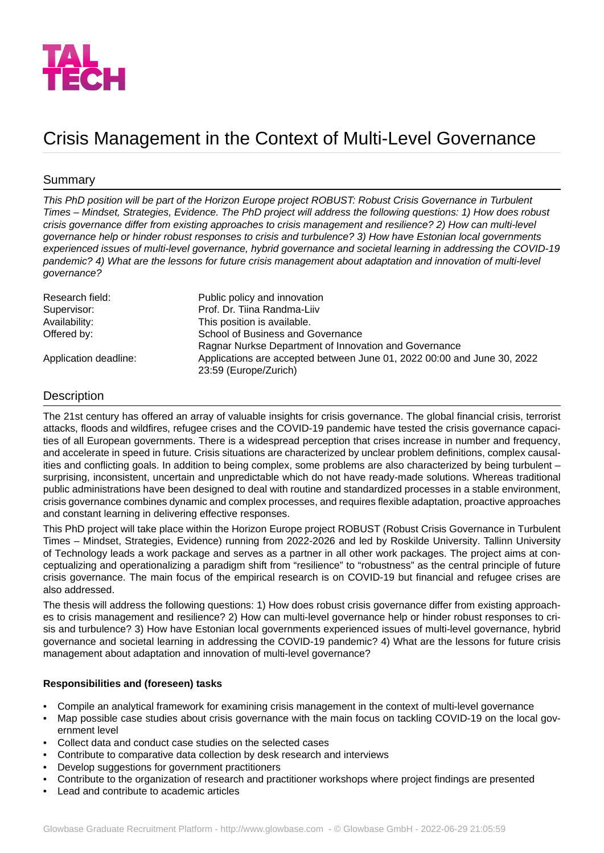

# Crisis Management in the Context of Multi-Level Governance

## Summary

This PhD position will be part of the Horizon Europe project ROBUST: Robust Crisis Governance in Turbulent Times - Mindset, Strategies, Evidence. The PhD project will address the following questions: 1) How does robust *crisis governance differ from existing approaches to crisis management and resilience? 2) How can multi-level governance help or hinder robust responses to crisis and turbulence? 3) How have Estonian local governments experienced issues of multi-level governance, hybrid governance and societal learning in addressing the COVID-19 pandemic? 4) What are the lessons for future crisis management about adaptation and innovation of multi-level governance?*

| Research field:       | Public policy and innovation                                            |
|-----------------------|-------------------------------------------------------------------------|
| Supervisor:           | Prof. Dr. Tiina Randma-Liiv                                             |
| Availability:         | This position is available.                                             |
| Offered by:           | School of Business and Governance                                       |
|                       | Ragnar Nurkse Department of Innovation and Governance                   |
| Application deadline: | Applications are accepted between June 01, 2022 00:00 and June 30, 2022 |
|                       | 23:59 (Europe/Zurich)                                                   |

## **Description**

The 21st century has offered an array of valuable insights for crisis governance. The global financial crisis, terrorist attacks, floods and wildfires, refugee crises and the COVID-19 pandemic have tested the crisis governance capacities of all European governments. There is a widespread perception that crises increase in number and frequency, and accelerate in speed in future. Crisis situations are characterized by unclear problem definitions, complex causalities and conflicting goals. In addition to being complex, some problems are also characterized by being turbulent – surprising, inconsistent, uncertain and unpredictable which do not have ready-made solutions. Whereas traditional public administrations have been designed to deal with routine and standardized processes in a stable environment, crisis governance combines dynamic and complex processes, and requires flexible adaptation, proactive approaches and constant learning in delivering effective responses.

This PhD project will take place within the Horizon Europe project ROBUST (Robust Crisis Governance in Turbulent Times – Mindset, Strategies, Evidence) running from 2022-2026 and led by Roskilde University. Tallinn University of Technology leads a work package and serves as a partner in all other work packages. The project aims at conceptualizing and operationalizing a paradigm shift from "resilience" to "robustness" as the central principle of future crisis governance. The main focus of the empirical research is on COVID-19 but financial and refugee crises are also addressed.

The thesis will address the following questions: 1) How does robust crisis governance differ from existing approaches to crisis management and resilience? 2) How can multi-level governance help or hinder robust responses to crisis and turbulence? 3) How have Estonian local governments experienced issues of multi-level governance, hybrid governance and societal learning in addressing the COVID-19 pandemic? 4) What are the lessons for future crisis management about adaptation and innovation of multi-level governance?

## **Responsibilities and (foreseen) tasks**

- Compile an analytical framework for examining crisis management in the context of multi-level governance
- Map possible case studies about crisis governance with the main focus on tackling COVID-19 on the local government level
- Collect data and conduct case studies on the selected cases
- Contribute to comparative data collection by desk research and interviews
- Develop suggestions for government practitioners
- Contribute to the organization of research and practitioner workshops where project findings are presented
- Lead and contribute to academic articles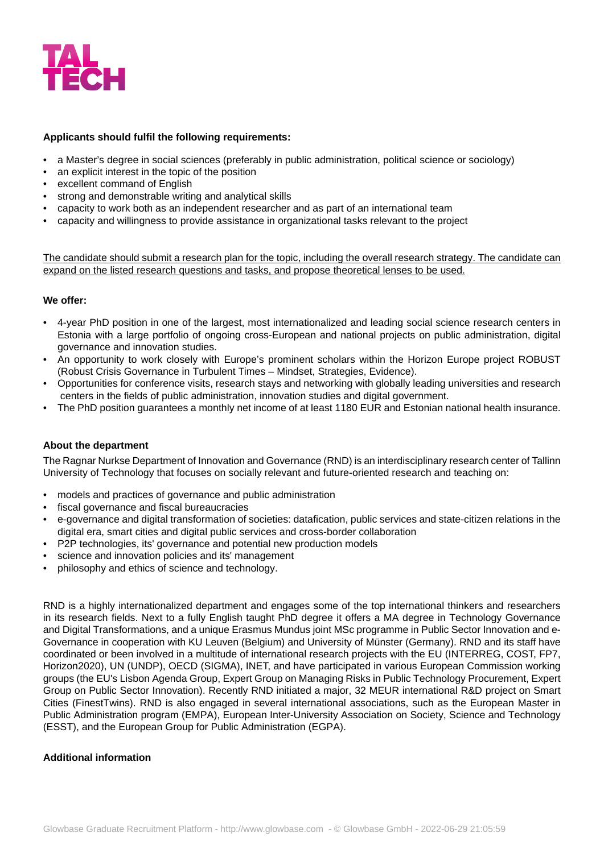

#### **Applicants should fulfil the following requirements:**

- a Master's degree in social sciences (preferably in public administration, political science or sociology)
- an explicit interest in the topic of the position
- excellent command of English
- strong and demonstrable writing and analytical skills
- capacity to work both as an independent researcher and as part of an international team
- capacity and willingness to provide assistance in organizational tasks relevant to the project

The candidate should submit a research plan for the topic, including the overall research strategy. The candidate can expand on the listed research questions and tasks, and propose theoretical lenses to be used.

#### **We offer:**

- 4-year PhD position in one of the largest, most internationalized and leading social science research centers in Estonia with a large portfolio of ongoing cross-European and national projects on public administration, digital governance and innovation studies.
- An opportunity to work closely with Europe's prominent scholars within the Horizon Europe project ROBUST (Robust Crisis Governance in Turbulent Times – Mindset, Strategies, Evidence).
- Opportunities for conference visits, research stays and networking with globally leading universities and research centers in the fields of public administration, innovation studies and digital government.
- The PhD position guarantees a monthly net income of at least 1180 EUR and Estonian national health insurance.

## **About the department**

The Ragnar Nurkse Department of Innovation and Governance (RND) is an interdisciplinary research center of Tallinn University of Technology that focuses on socially relevant and future-oriented research and teaching on:

- models and practices of governance and public administration
- fiscal governance and fiscal bureaucracies
- e-governance and digital transformation of societies: datafication, public services and state-citizen relations in the digital era, smart cities and digital public services and cross-border collaboration
- P2P technologies, its' governance and potential new production models
- science and innovation policies and its' management
- philosophy and ethics of science and technology.

RND is a highly internationalized department and engages some of the top international thinkers and researchers in its research fields. Next to a fully English taught PhD degree it offers a MA degree in Technology Governance and Digital Transformations, and a unique Erasmus Mundus joint MSc programme in Public Sector Innovation and e-Governance in cooperation with KU Leuven (Belgium) and University of Münster (Germany). RND and its staff have coordinated or been involved in a multitude of international research projects with the EU (INTERREG, COST, FP7, Horizon2020), UN (UNDP), OECD (SIGMA), INET, and have participated in various European Commission working groups (the EU's Lisbon Agenda Group, Expert Group on Managing Risks in Public Technology Procurement, Expert Group on Public Sector Innovation). Recently RND initiated a major, 32 MEUR international R&D project on Smart Cities (FinestTwins). RND is also engaged in several international associations, such as the European Master in Public Administration program (EMPA), European Inter-University Association on Society, Science and Technology (ESST), and the European Group for Public Administration (EGPA).

#### **Additional information**